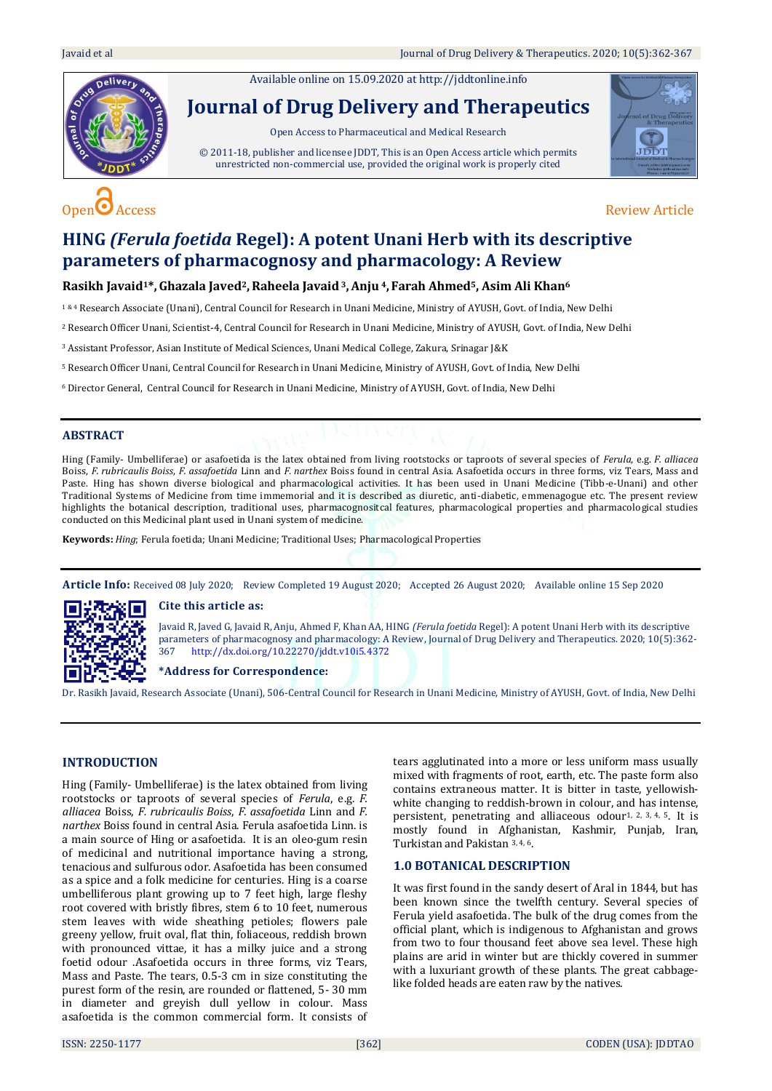Available online on 15.09.2020 a[t http://jddtonline.info](http://jddtonline.info/)

# **Journal of Drug Delivery and Therapeutics**

Open Access to Pharmaceutical and Medical Research

© 2011-18, publisher and licensee JDDT, This is an Open Access article which permits unrestricted non-commercial use, provided the original work is properly cited





# **HING** *(Ferula foetida* **Regel): A potent Unani Herb with its descriptive parameters of pharmacognosy and pharmacology: A Review**

# **Rasikh Javaid1\*,Ghazala Javed2,Raheela Javaid3,Anju <sup>4</sup>, Farah Ahmed5, Asim Ali Khan<sup>6</sup>**

1&4 Research Associate (Unani), Central Council for Research in Unani Medicine, Ministry of AYUSH, Govt. of India, New Delhi

<sup>2</sup> Research Officer Unani, Scientist-4, Central Council for Research in Unani Medicine, Ministry of AYUSH, Govt. of India, New Delhi

<sup>3</sup> Assistant Professor, Asian Institute of Medical Sciences, Unani Medical College, Zakura, Srinagar J&K

<sup>5</sup> Research Officer Unani, Central Council for Research in Unani Medicine, Ministry of AYUSH, Govt. of India, New Delhi

<sup>6</sup>Director General, Central Council for Research in Unani Medicine, Ministry of AYUSH, Govt. of India, New Delhi

#### **ABSTRACT**

Hing (Family- Umbelliferae) or asafoetida is the latex obtained from living rootstocks or taproots of several species of *Ferula*, e.g. *F. alliacea* Boiss, *F. rubricaulis Boiss*, *F. assafoetida* Linn and *F. narthex* Boiss found in central Asia. Asafoetida occurs in three forms, viz Tears, Mass and Paste. Hing has shown diverse biological and pharmacological activities. It has been used in Unani Medicine (Tibb-e-Unani) and other Traditional Systems of Medicine from time immemorial and it is described as diuretic, anti-diabetic, emmenagogue etc. The present review highlights the botanical description, traditional uses, pharmacognositcal features, pharmacological properties and pharmacological studies conducted on this Medicinal plant used in Unani system of medicine.

**Keywords:** *Hing*; Ferula foetida; Unani Medicine; Traditional Uses; Pharmacological Properties

**Article Info:** Received 08 July 2020; Review Completed 19 August 2020; Accepted 26 August 2020; Available online 15 Sep 2020

# **Cite this article as:**



Javaid R, Javed G, Javaid R, Anju, Ahmed F, Khan AA, HING *(Ferula foetida* Regel): A potent Unani Herb with its descriptive parameters of pharmacognosy and pharmacology: A Review, Journal of Drug Delivery and Therapeutics. 2020; 10(5):362- 367 <http://dx.doi.org/10.22270/jddt.v10i5.4372>

#### **\*Address for Correspondence:**

Dr. Rasikh Javaid, Research Associate (Unani), 506-Central Council for Research in Unani Medicine, Ministry of AYUSH, Govt. of India, New Delhi

# **INTRODUCTION**

Hing (Family- Umbelliferae) is the latex obtained from living rootstocks or taproots of several species of *Ferula*, e.g. *F. alliacea* Boiss, *F. rubricaulis Boiss*, *F. assafoetida* Linn and *F. narthex* Boiss found in central Asia. Ferula asafoetida Linn. is a main source of Hing or asafoetida. It is an oleo-gum resin of medicinal and nutritional importance having a strong, tenacious and sulfurous odor. Asafoetida has been consumed as a spice and a folk medicine for centuries. Hing is a coarse umbelliferous plant growing up to 7 feet high, large fleshy root covered with bristly fibres, stem 6 to 10 feet, numerous stem leaves with wide sheathing petioles; flowers pale greeny yellow, fruit oval, flat thin, foliaceous, reddish brown with pronounced vittae, it has a milky juice and a strong foetid odour .Asafoetida occurs in three forms, viz Tears, Mass and Paste. The tears, 0.5-3 cm in size constituting the purest form of the resin, are rounded or flattened, 5- 30 mm in diameter and greyish dull yellow in colour. Mass asafoetida is the common commercial form. It consists of

tears agglutinated into a more or less uniform mass usually mixed with fragments of root, earth, etc. The paste form also contains extraneous matter. It is bitter in taste, yellowishwhite changing to reddish-brown in colour, and has intense, persistent, penetrating and alliaceous odour<sup>1, 2, 3, 4, 5</sup>. It is mostly found in Afghanistan, Kashmir, Punjab, Iran, Turkistan and Pakistan 3, 4, 6.

# **1.0 BOTANICAL DESCRIPTION**

It was first found in the sandy desert of Aral in 1844, but has been known since the twelfth century. Several species of Ferula yield asafoetida. The bulk of the drug comes from the official plant, which is indigenous to Afghanistan and grows from two to four thousand feet above sea level. These high plains are arid in winter but are thickly covered in summer with a luxuriant growth of these plants. The great cabbagelike folded heads are eaten raw by the natives.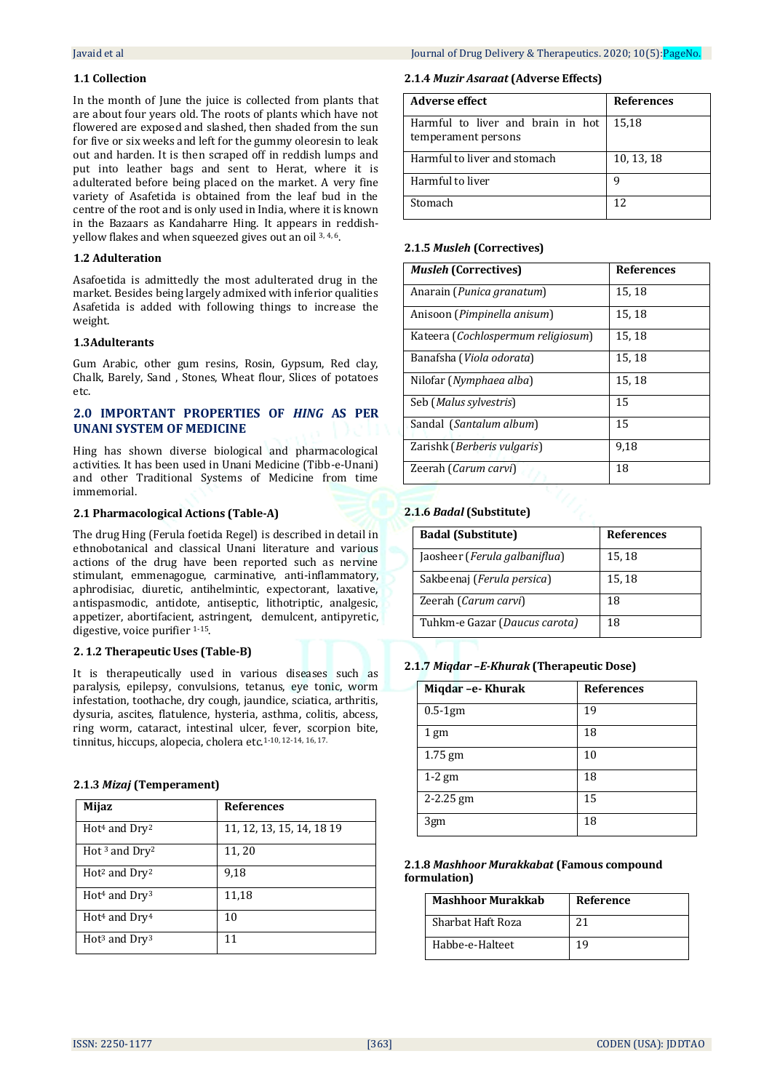# **1.1 Collection**

In the month of June the juice is collected from plants that are about four years old. The roots of plants which have not flowered are exposed and slashed, then shaded from the sun for five or six weeks and left for the gummy oleoresin to leak out and harden. It is then scraped off in reddish lumps and put into leather bags and sent to Herat, where it is adulterated before being placed on the market. A very fine variety of Asafetida is obtained from the leaf bud in the centre of the root and is only used in India, where it is known in the Bazaars as Kandaharre Hing. It appears in reddishyellow flakes and when squeezed gives out an oil 3, 4, 6.

# **1.2 Adulteration**

Asafoetida is admittedly the most adulterated drug in the market. Besides being largely admixed with inferior qualities Asafetida is added with following things to increase the weight.

# **1.3Adulterants**

Gum Arabic, other gum resins, Rosin, Gypsum, Red clay, Chalk, Barely, Sand , Stones, Wheat flour, Slices of potatoes etc.

# **2.0 IMPORTANT PROPERTIES OF** *HING* **AS PER UNANI SYSTEM OF MEDICINE**

Hing has shown diverse biological and pharmacological activities. It has been used in Unani Medicine (Tibb-e-Unani) and other Traditional Systems of Medicine from time immemorial.

# **2.1 Pharmacological Actions (Table-A)**

The drug Hing (Ferula foetida Regel) is described in detail in ethnobotanical and classical Unani literature and various actions of the drug have been reported such as nervine stimulant, emmenagogue, carminative, anti-inflammatory, aphrodisiac, diuretic, antihelmintic, expectorant, laxative, antispasmodic, antidote, antiseptic, lithotriptic, analgesic, appetizer, abortifacient, astringent, demulcent, antipyretic, digestive, voice purifier 1-15.

# **2. 1.2 Therapeutic Uses (Table-B)**

It is therapeutically used in various diseases such as paralysis, epilepsy, convulsions, tetanus, eye tonic, worm infestation, toothache, dry cough, jaundice, sciatica, arthritis, dysuria, ascites, flatulence, hysteria, asthma, colitis, abcess, ring worm, cataract, intestinal ulcer, fever, scorpion bite, tinnitus, hiccups, alopecia, cholera etc.<sup>1-10, 12-14, 16, 17.</sup>

# **2.1.3** *Mizaj* **(Temperament)**

| <b>Mijaz</b>                          | <b>References</b>         |
|---------------------------------------|---------------------------|
| Hot <sup>4</sup> and Dry <sup>2</sup> | 11, 12, 13, 15, 14, 18 19 |
| Hot <sup>3</sup> and $Dry^2$          | 11, 20                    |
| $Hot2$ and $Dry2$                     | 9,18                      |
| $Hot4$ and $Dry3$                     | 11,18                     |
| Hot <sup>4</sup> and Dry <sup>4</sup> | 10                        |
| $Hot3$ and $Dry3$                     | 11                        |

# **2.1.4** *Muzir Asaraat* **(Adverse Effects)**

| Adverse effect                                           | <b>References</b> |
|----------------------------------------------------------|-------------------|
| Harmful to liver and brain in hot<br>temperament persons | 15,18             |
| Harmful to liver and stomach                             | 10, 13, 18        |
| Harmful to liver                                         | q                 |
| Stomach                                                  | 12                |

# **2.1.5** *Musleh* **(Correctives)**

| <b>Musleh (Correctives)</b>          | <b>References</b> |
|--------------------------------------|-------------------|
| Anarain ( <i>Punica granatum</i> )   | 15, 18            |
| Anisoon (Pimpinella anisum)          | 15, 18            |
| Kateera (Cochlospermum religiosum)   | 15, 18            |
| Banafsha ( <i>Viola odorata</i> )    | 15, 18            |
| Nilofar ( <i>Nymphaea alba</i> )     | 15, 18            |
| Seb (Malus sylvestris)               | 15                |
| Sandal (Santalum album)              | 15                |
| Zarishk ( <i>Berberis vulgaris</i> ) | 9,18              |
| Zeerah (Carum carvi)                 | 18                |

# **2.1.6** *Badal* **(Substitute)**

| <b>Badal (Substitute)</b>     | <b>References</b> |
|-------------------------------|-------------------|
| Jaosheer (Ferula galbaniflua) | 15, 18            |
| Sakbeenaj (Ferula persica)    | 15, 18            |
| Zeerah (Carum carvi)          | 18                |
| Tuhkm-e Gazar (Daucus carota) | 18                |

# **2.1.7** *Miqdar –E-Khurak* **(Therapeutic Dose)**

| Miqdar -e- Khurak | <b>References</b> |
|-------------------|-------------------|
| $0.5-1gm$         | 19                |
| $1 \text{ gm}$    | 18                |
| 1.75 gm           | 10                |
| $1-2$ gm          | 18                |
| $2 - 2.25$ gm     | 15                |
| 3gm               | 18                |

# **2.1.8** *Mashhoor Murakkabat* **(Famous compound formulation)**

| <b>Mashhoor Murakkab</b> | <b>Reference</b> |
|--------------------------|------------------|
| Sharbat Haft Roza        |                  |
| Habbe-e-Halteet          |                  |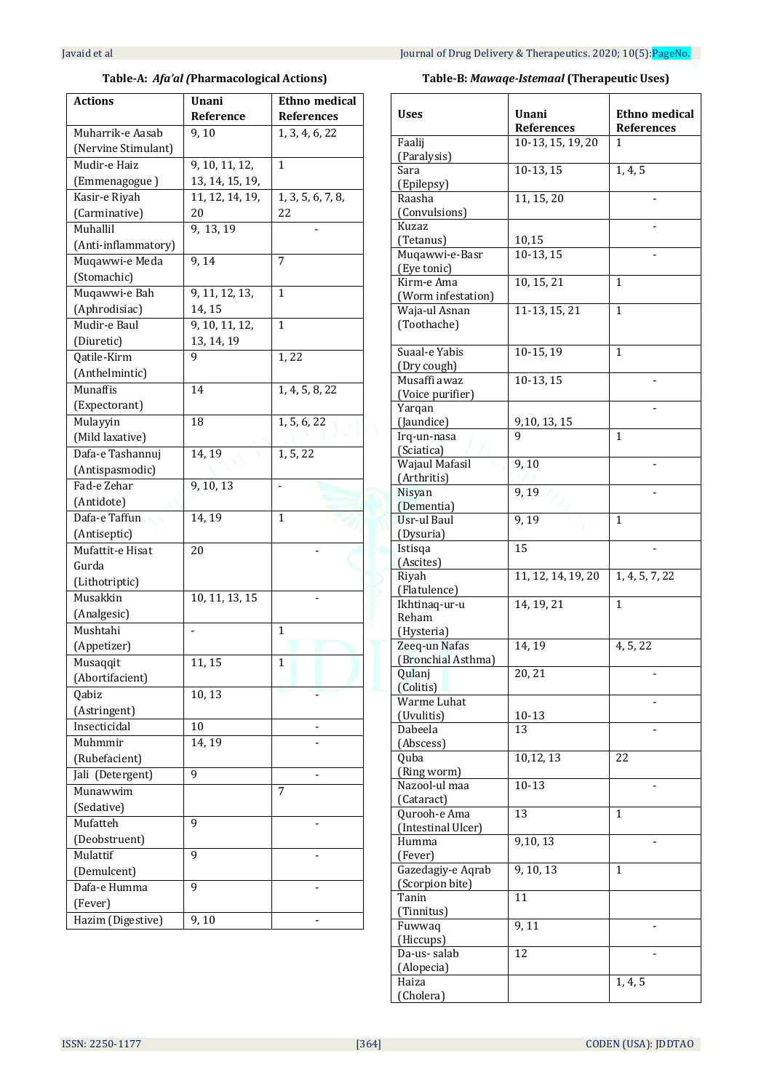# **Table-A:** *Afa'al (***Pharmacological Actions)**

| Actions             | Unani           | <b>Ethno medical</b> |
|---------------------|-----------------|----------------------|
|                     | Reference       | <b>References</b>    |
| Muharrik-e Aasab    | 9,10            | 1, 3, 4, 6, 22       |
| (Nervine Stimulant) |                 |                      |
| Mudir-e Haiz        | 9, 10, 11, 12,  | 1                    |
| (Emmenagogue)       | 13, 14, 15, 19, |                      |
| Kasir-e Riyah       | 11, 12, 14, 19, | 1, 3, 5, 6, 7, 8,    |
| (Carminative)       | 20              | 22                   |
| Muhallil            | 9, 13, 19       |                      |
| (Anti-inflammatory) |                 |                      |
| Muqawwi-e Meda      | 9,14            | 7                    |
| (Stomachic)         |                 |                      |
| Muqawwi-e Bah       | 9, 11, 12, 13,  | 1                    |
| (Aphrodisiac)       | 14, 15          |                      |
| Mudir-e Baul        | 9, 10, 11, 12,  | 1                    |
| (Diuretic)          | 13, 14, 19      |                      |
| Qatile-Kirm         | 9               | 1,22                 |
| (Anthelmintic)      |                 |                      |
| Munaffis            | 14              | 1, 4, 5, 8, 22       |
| (Expectorant)       |                 |                      |
| Mulayyin            | 18              | 1, 5, 6, 22          |
| (Mild laxative)     |                 |                      |
| Dafa-e Tashannuj    | 14, 19          | 1, 5, 22             |
| (Antispasmodic)     |                 |                      |
| Fad-e Zehar         | 9, 10, 13       | -                    |
| (Antidote)          |                 |                      |
| Dafa-e Taffun       | 14, 19          | 1                    |
| (Antiseptic)        |                 |                      |
| Mufattit-e Hisat    | 20              |                      |
| Gurda               |                 |                      |
| (Lithotriptic)      |                 |                      |
| Musakkin            | 10, 11, 13, 15  |                      |
| (Analgesic)         |                 |                      |
| Mushtahi            |                 | 1                    |
| (Appetizer)         |                 |                      |
| Musaqqit            | 11, 15          | $\mathbf{1}$         |
| (Abortifacient)     |                 |                      |
| Qabiz               | 10,13           |                      |
| (Astringent)        |                 |                      |
| Insecticidal        | 10              |                      |
| Muhmmir             | 14, 19          |                      |
| (Rubefacient)       |                 |                      |
| Jali (Detergent)    | 9               |                      |
| Munawwim            |                 | 7                    |
| (Sedative)          |                 |                      |
| Mufatteh            | 9               |                      |
| (Deobstruent)       |                 |                      |
| Mulattif            | 9               |                      |
| (Demulcent)         |                 |                      |
| Dafa-e Humma        | 9               |                      |
| (Fever)             |                 |                      |
| Hazim (Digestive)   | 9,10            |                      |
|                     |                 |                      |

# **Table-B:** *Mawaqe-Istemaal* **(Therapeutic Uses)**

| Uses                                 | Unani<br><b>References</b> | Ethno medical<br><b>References</b> |
|--------------------------------------|----------------------------|------------------------------------|
| Faalij<br>(Paralysis)                | 10-13, 15, 19, 20          | 1                                  |
| Sara                                 | $10-13, 15$                | 1, 4, 5                            |
| (Epilepsy)<br>Raasha                 | 11, 15, 20                 |                                    |
| (Convulsions)                        |                            |                                    |
| Kuzaz                                |                            |                                    |
| (Tetanus)<br>Muqawwi-e-Basr          | 10,15<br>10-13, 15         |                                    |
| (Eye tonic)                          |                            |                                    |
| Kirm-e Ama<br>(Worm infestation)     | 10, 15, 21                 | 1                                  |
| Waja-ul Asnan<br>(Toothache)         | 11-13, 15, 21              | $\mathbf{1}$                       |
| Suaal-e Yabis                        | $10-15, 19$                | $\mathbf{1}$                       |
| (Dry cough)<br>Musaffi awaz          | $10-13, 15$                |                                    |
| (Voice purifier)                     |                            |                                    |
| Yarqan<br>(Jaundice)                 | 9,10, 13, 15               |                                    |
| Irq-un-nasa                          |                            | 1                                  |
| (Sciatica)<br>Wajaul Mafasil         | 9,10                       |                                    |
| (Arthritis)                          |                            |                                    |
| Nisyan<br>(Dementia)                 | 9, 19                      |                                    |
| Usr-ul Baul                          | 9,19                       | 1                                  |
| (Dysuria)                            |                            |                                    |
| Istisqa<br>(Ascites)                 | 15                         |                                    |
| Riyah<br>(Flatulence)                | 11, 12, 14, 19, 20         | 1, 4, 5, 7, 22                     |
| Ikhtinaq-ur-u<br>Reham<br>(Hysteria) | 14, 19, 21                 | 1                                  |
| Zeeq-un Nafas                        | 14, 19                     | 4, 5, 22                           |
| (Bronchial Asthma)<br>Qulanj         | 20,21                      |                                    |
| (Colitis)                            |                            |                                    |
| Warme Luhat<br>(Uvulitis)            | 10-13                      |                                    |
| Dabeela                              | 13                         |                                    |
| (Abscess)<br>Quba                    | 10,12,13                   | 22                                 |
| (Ring worm)<br>Nazool-ul maa         | $10 - 13$                  |                                    |
| (Cataract)                           |                            |                                    |
| Qurooh-e Ama                         | 13                         | 1                                  |
| (Intestinal Ulcer)<br>Humma          | 9,10,13                    |                                    |
| (Fever)                              |                            |                                    |
| Gazedagiy-e Aqrab<br>(Scorpion bite) | 9, 10, 13                  | 1                                  |
| Tanin<br>(Tinnitus)                  | 11                         |                                    |
| Fuwwaq<br>(Hiccups)                  | 9,11                       |                                    |
| Da-us-salab                          | 12                         |                                    |
| (Alopecia)<br>Haiza                  |                            | 1, 4, 5                            |
| (Cholera)                            |                            |                                    |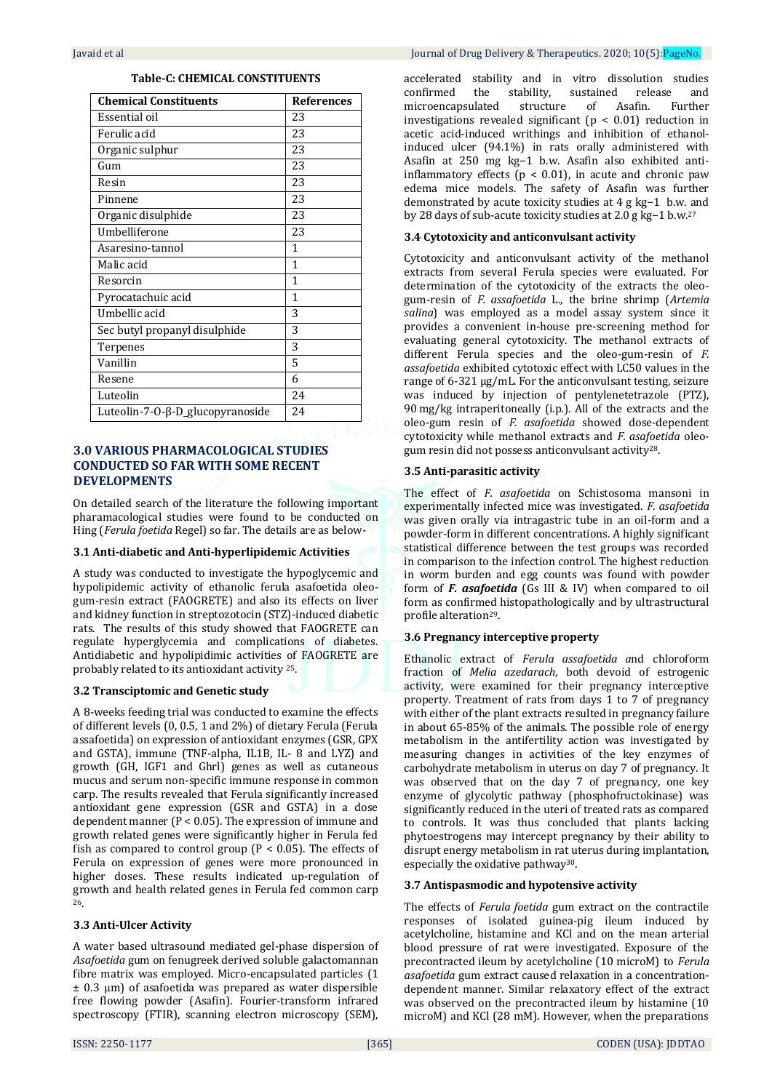| <b>Chemical Constituents</b>     | <b>References</b> |
|----------------------------------|-------------------|
| Essential oil                    | 23                |
| Ferulic acid                     | 23                |
| Organic sulphur                  | 23                |
| Gum                              | 23                |
| Resin                            | 23                |
| Pinnene                          | 23                |
| Organic disulphide               | 23                |
| Umbelliferone                    | 23                |
| Asaresino-tannol                 | 1                 |
| Malic acid                       | 1                 |
| Resorcin                         | 1                 |
| Pyrocatachuic acid               | 1                 |
| Umbellic acid                    | 3                 |
| Sec butyl propanyl disulphide    | 3                 |
| Terpenes                         | 3                 |
| Vanillin                         | 5                 |
| Resene                           | 6                 |
| Luteolin                         | 2.4               |
| Luteolin-7-0-β-D_glucopyranoside | 24                |

# **3.0 VARIOUS PHARMACOLOGICAL STUDIES CONDUCTED SO FAR WITH SOME RECENT DEVELOPMENTS**

On detailed search of the literature the following important pharamacological studies were found to be conducted on Hing (*Ferula foetida* Regel) so far. The details are as below-

# **3.1 Anti-diabetic and Anti-hyperlipidemic Activities**

A study was conducted to investigate the hypoglycemic and hypolipidemic activity of ethanolic ferula asafoetida oleogum-resin extract (FAOGRETE) and also its effects on liver and kidney function in streptozotocin (STZ)-induced diabetic rats. The results of this study showed that FAOGRETE can regulate hyperglycemia and complications of diabetes. Antidiabetic and hypolipidimic activities of FAOGRETE are probably related to its antioxidant activity 25.

# **3.2 Transciptomic and Genetic study**

A 8-weeks feeding trial was conducted to examine the effects of different levels (0, 0.5, 1 and 2%) of dietary Ferula (Ferula assafoetida) on expression of antioxidant enzymes (GSR, GPX and GSTA), immune (TNF-alpha, IL1B, IL- 8 and LYZ) and growth (GH, IGF1 and Ghrl) genes as well as cutaneous mucus and serum non-specific immune response in common carp. The results revealed that Ferula significantly increased antioxidant gene expression (GSR and GSTA) in a dose dependent manner (P < 0.05). The expression of immune and growth related genes were significantly higher in Ferula fed fish as compared to control group ( $P < 0.05$ ). The effects of Ferula on expression of genes were more pronounced in higher doses. These results indicated up-regulation of growth and health related genes in Ferula fed common carp <sup>26</sup>.

# **3.3 Anti-Ulcer Activity**

A water based ultrasound mediated gel-phase dispersion of *Asafoetida* gum on fenugreek derived soluble galactomannan fibre matrix was employed. Micro-encapsulated particles (1  $\pm$  0.3  $\mu$ m) of asafoetida was prepared as water dispersible free flowing powder (Asafin). Fourier-transform infrared spectroscopy (FTIR), scanning electron microscopy (SEM),

accelerated stability and in vitro dissolution studies confirmed the stability, sustained release and microencapsulated structure of Asafin. Further investigations revealed significant ( $p < 0.01$ ) reduction in acetic acid-induced writhings and inhibition of ethanolinduced ulcer (94.1%) in rats orally administered with Asafin at 250 mg kg−1 b.w. Asafin also exhibited antiinflammatory effects ( $p < 0.01$ ), in acute and chronic paw edema mice models. The safety of Asafin was further demonstrated by acute toxicity studies at 4 g kg−1 b.w. and by 28 days of sub-acute toxicity studies at 2.0 g kg−1 b.w. 27

#### **3.4 Cytotoxicity and anticonvulsant activity**

Cytotoxicity and anticonvulsant activity of the methanol extracts from several Ferula species were evaluated. For determination of the cytotoxicity of the extracts the oleogum-resin of *F. assafoetida* L., the brine shrimp (*Artemia salina*) was employed as a model assay system since it provides a convenient in-house pre-screening method for evaluating general cytotoxicity. The methanol extracts of different Ferula species and the oleo-gum-resin of *F. assafoetida* exhibited cytotoxic effect with LC50 values in the range of 6-321 μg/mL. For the anticonvulsant testing, seizure was induced by injection of pentylenetetrazole (PTZ), 90 mg/kg intraperitoneally (i.p.). All of the extracts and the oleo-gum resin of *F. asafoetida* showed dose-dependent cytotoxicity while methanol extracts and *F. asafoetida* oleogum resin did not possess anticonvulsant activity28.

#### **3.5 Anti-parasitic activity**

The effect of *F. asafoetida* on Schistosoma mansoni in experimentally infected mice was investigated. *F. asafoetida* was given orally via intragastric tube in an oil-form and a powder-form in different concentrations. A highly significant statistical difference between the test groups was recorded in comparison to the infection control. The highest reduction in worm burden and egg counts was found with powder form of *F. asafoetida* (Gs III & IV) when compared to oil form as confirmed histopathologically and by ultrastructural profile alteration29.

# **3.6 Pregnancy interceptive property**

Ethanolic extract of *Ferula assafoetida a*nd chloroform fraction of *Melia azedarach*, both devoid of estrogenic activity, were examined for their pregnancy interceptive property. Treatment of rats from days 1 to 7 of pregnancy with either of the plant extracts resulted in pregnancy failure in about 65-85% of the animals. The possible role of energy metabolism in the antifertility action was investigated by measuring changes in activities of the key enzymes of carbohydrate metabolism in uterus on day 7 of pregnancy. It was observed that on the day 7 of pregnancy, one key enzyme of glycolytic pathway (phosphofructokinase) was significantly reduced in the uteri of treated rats as compared to controls. It was thus concluded that plants lacking phytoestrogens may intercept pregnancy by their ability to disrupt energy metabolism in rat uterus during implantation, especially the oxidative pathway30.

# **3.7 Antispasmodic and hypotensive activity**

The effects of *Ferula foetida* gum extract on the contractile responses of isolated guinea-pig ileum induced by acetylcholine, histamine and KCl and on the mean arterial blood pressure of rat were investigated. Exposure of the precontracted ileum by acetylcholine (10 microM) to *Ferula asafoetida* gum extract caused relaxation in a concentrationdependent manner. Similar relaxatory effect of the extract was observed on the precontracted ileum by histamine (10 microM) and KCl (28 mM). However, when the preparations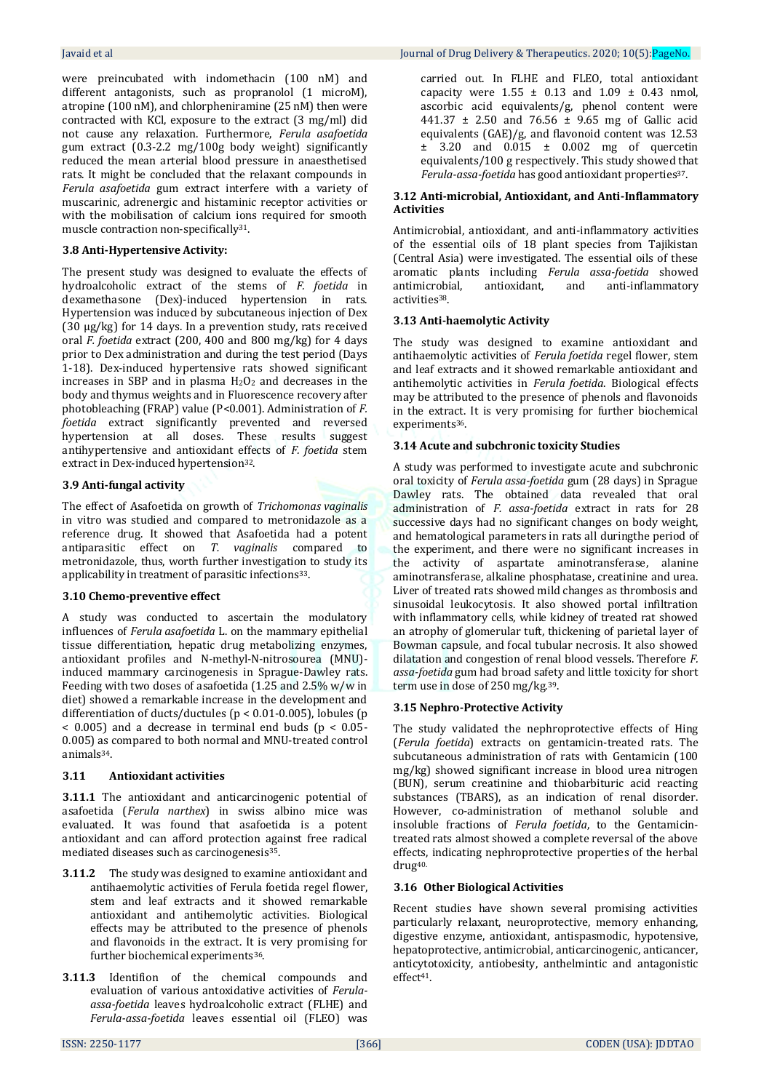were preincubated with indomethacin (100 nM) and different antagonists, such as propranolol (1 microM), atropine (100 nM), and chlorpheniramine (25 nM) then were contracted with KCl, exposure to the extract (3 mg/ml) did not cause any relaxation. Furthermore, *Ferula asafoetida*  gum extract (0.3-2.2 mg/100g body weight) significantly reduced the mean arterial blood pressure in anaesthetised rats. It might be concluded that the relaxant compounds in *Ferula asafoetida* gum extract interfere with a variety of muscarinic, adrenergic and histaminic receptor activities or with the mobilisation of calcium ions required for smooth muscle contraction non-specifically31.

# **3.8 Anti-Hypertensive Activity:**

The present study was designed to evaluate the effects of hydroalcoholic extract of the stems of *F. foetida* in dexamethasone (Dex)-induced hypertension in rats. Hypertension was induced by subcutaneous injection of Dex (30 µg/kg) for 14 days. In a prevention study, rats received oral *F. foetida* extract (200, 400 and 800 mg/kg) for 4 days prior to Dex administration and during the test period (Days 1-18). Dex-induced hypertensive rats showed significant increases in SBP and in plasma  $H_2O_2$  and decreases in the body and thymus weights and in Fluorescence recovery after photobleaching (FRAP) value (P<0.001). Administration of *F. foetida* extract significantly prevented and reversed hypertension at all doses. These results suggest antihypertensive and antioxidant effects of *F. foetida* stem extract in Dex-induced hypertension<sup>32</sup>.

# **3.9 Anti-fungal activity**

The effect of Asafoetida on growth of *Trichomonas vaginalis* in vitro was studied and compared to metronidazole as a reference drug. It showed that Asafoetida had a potent antiparasitic effect on *T. vaginalis* compared to metronidazole, thus, worth further investigation to study its applicability in treatment of parasitic infections<sup>33</sup>.

# **3.10 Chemo-preventive effect**

A study was conducted to ascertain the modulatory influences of *Ferula asafoetida* L. on the mammary epithelial tissue differentiation, hepatic drug metabolizing enzymes, antioxidant profiles and N-methyl-N-nitrosourea (MNU) induced mammary carcinogenesis in Sprague-Dawley rats. Feeding with two doses of asafoetida (1.25 and 2.5% w/w in diet) showed a remarkable increase in the development and differentiation of ducts/ductules (p < 0.01-0.005), lobules (p  $<$  0.005) and a decrease in terminal end buds ( $p < 0.05$ -0.005) as compared to both normal and MNU-treated control animals34.

# **3.11 Antioxidant activities**

**3.11.1** The antioxidant and anticarcinogenic potential of asafoetida (*Ferula narthex*) in swiss albino mice was evaluated. It was found that asafoetida is a potent antioxidant and can afford protection against free radical mediated diseases such as carcinogenesis35.

- **3.11.2** The study was designed to examine antioxidant and antihaemolytic activities of Ferula foetida regel flower, stem and leaf extracts and it showed remarkable antioxidant and antihemolytic activities. Biological effects may be attributed to the presence of phenols and flavonoids in the extract. It is very promising for further biochemical experiments36.
- **3.11.3** Identifion of the chemical compounds and evaluation of various antoxidative activities of *Ferulaassa-foetida* leaves hydroalcoholic extract (FLHE) and *Ferula-assa-foetida* leaves essential oil (FLEO) was

carried out. In FLHE and FLEO, total antioxidant capacity were  $1.55 \pm 0.13$  and  $1.09 \pm 0.43$  nmol, ascorbic acid equivalents/g, phenol content were 441.37  $\pm$  2.50 and 76.56  $\pm$  9.65 mg of Gallic acid equivalents (GAE)/g, and flavonoid content was 12.53  $\pm$  3.20 and 0.015  $\pm$  0.002 mg of quercetin equivalents/100 g respectively. This study showed that *Ferula-assa-foetida* has good antioxidant properties37.

# **3.12 Anti-microbial, Antioxidant, and Anti-Inflammatory Activities**

Antimicrobial, antioxidant, and anti-inflammatory activities of the essential oils of 18 plant species from Tajikistan (Central Asia) were investigated. The essential oils of these aromatic plants including *Ferula assa-foetida* showed antimicrobial, antioxidant, and anti-inflammatory activities38.

# **3.13 Anti-haemolytic Activity**

The study was designed to examine antioxidant and antihaemolytic activities of *Ferula foetida* regel flower, stem and leaf extracts and it showed remarkable antioxidant and antihemolytic activities in *Ferula foetida*. Biological effects may be attributed to the presence of phenols and flavonoids in the extract. It is very promising for further biochemical experiments<sup>36</sup>.

# **3.14 Acute and subchronic toxicity Studies**

A study was performed to investigate acute and subchronic oral toxicity of *Ferula assa-foetida* gum (28 days) in Sprague Dawley rats. The obtained data revealed that oral administration of *F. assa-foetida* extract in rats for 28 successive days had no significant changes on body weight, and hematological parameters in rats all duringthe period of the experiment, and there were no significant increases in the activity of aspartate aminotransferase, alanine aminotransferase, alkaline phosphatase, creatinine and urea. Liver of treated rats showed mild changes as thrombosis and sinusoidal leukocytosis. It also showed portal infiltration with inflammatory cells, while kidney of treated rat showed an atrophy of glomerular tuft, thickening of parietal layer of Bowman capsule, and focal tubular necrosis. It also showed dilatation and congestion of renal blood vessels. Therefore *F. assa-foetida* gum had broad safety and little toxicity for short term use in dose of 250 mg/kg.39.

# **3.15 Nephro-Protective Activity**

The study validated the nephroprotective effects of Hing (*Ferula foetida*) extracts on gentamicin-treated rats. The subcutaneous administration of rats with Gentamicin (100 mg/kg) showed significant increase in blood urea nitrogen (BUN), serum creatinine and thiobarbituric acid reacting substances (TBARS), as an indication of renal disorder. However, co-administration of methanol soluble and insoluble fractions of *Ferula foetida*, to the Gentamicintreated rats almost showed a complete reversal of the above effects, indicating nephroprotective properties of the herbal drug40.

# **3.16 Other Biological Activities**

Recent studies have shown several promising activities particularly relaxant, neuroprotective, memory enhancing, digestive enzyme, antioxidant, antispasmodic, hypotensive, hepatoprotective, antimicrobial, anticarcinogenic, anticancer, anticytotoxicity, antiobesity, anthelmintic and antagonistic effect41.